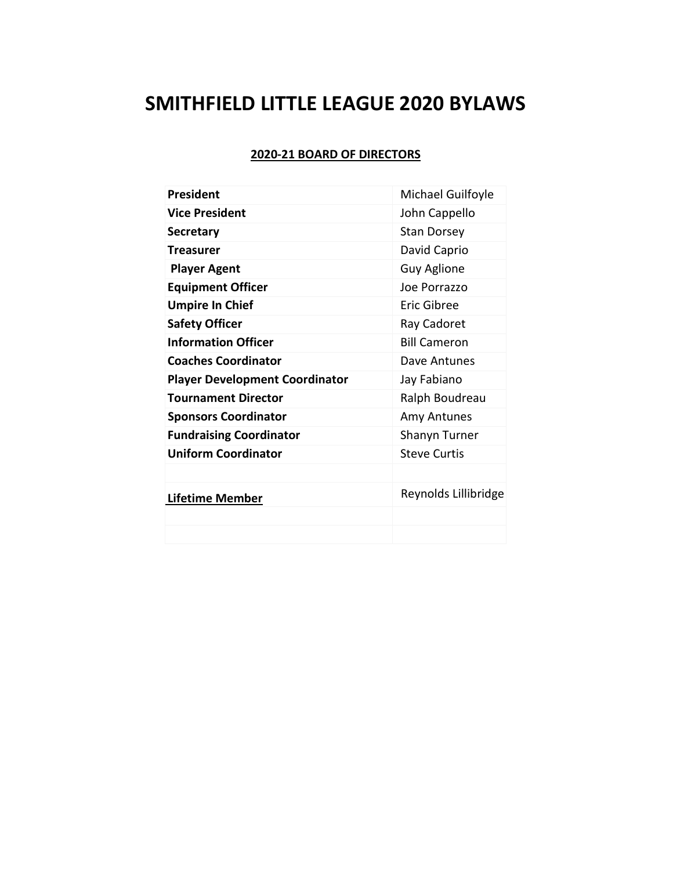# **SMITHFIELD LITTLE LEAGUE 2020 BYLAWS**

# **2020-21 BOARD OF DIRECTORS**

| <b>President</b>                      | Michael Guilfoyle    |
|---------------------------------------|----------------------|
| <b>Vice President</b>                 | John Cappello        |
| <b>Secretary</b>                      | <b>Stan Dorsey</b>   |
| Treasurer                             | David Caprio         |
| <b>Player Agent</b>                   | <b>Guy Aglione</b>   |
| <b>Equipment Officer</b>              | Joe Porrazzo         |
| <b>Umpire In Chief</b>                | Eric Gibree          |
| <b>Safety Officer</b>                 | Ray Cadoret          |
| <b>Information Officer</b>            | <b>Bill Cameron</b>  |
| <b>Coaches Coordinator</b>            | Dave Antunes         |
| <b>Player Development Coordinator</b> | Jay Fabiano          |
| <b>Tournament Director</b>            | Ralph Boudreau       |
| <b>Sponsors Coordinator</b>           | Amy Antunes          |
| <b>Fundraising Coordinator</b>        | Shanyn Turner        |
| <b>Uniform Coordinator</b>            | <b>Steve Curtis</b>  |
|                                       |                      |
| <b>Lifetime Member</b>                | Reynolds Lillibridge |
|                                       |                      |
|                                       |                      |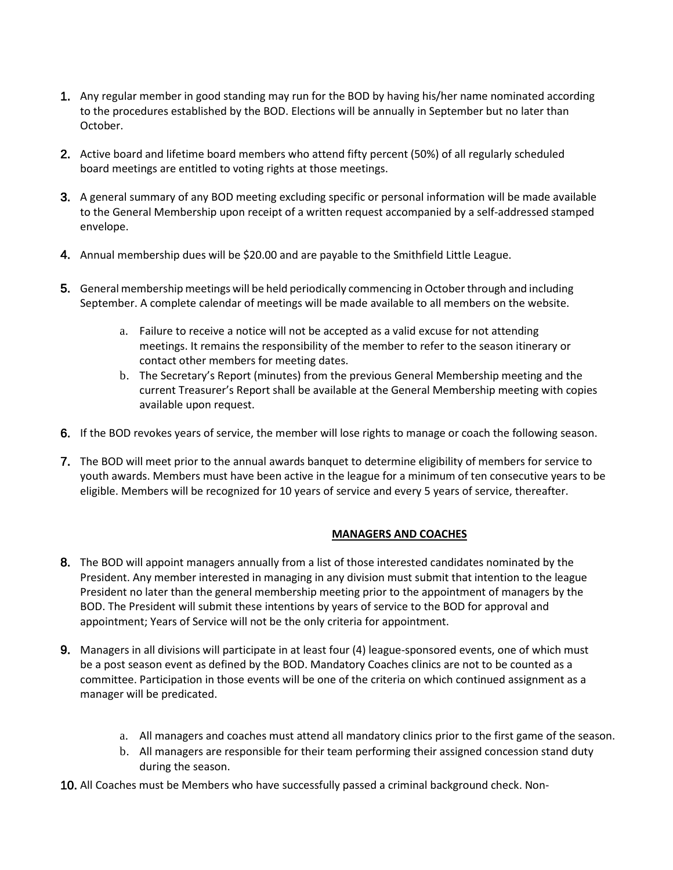- 1. Any regular member in good standing may run for the BOD by having his/her name nominated according to the procedures established by the BOD. Elections will be annually in September but no later than October.
- 2. Active board and lifetime board members who attend fifty percent (50%) of all regularly scheduled board meetings are entitled to voting rights at those meetings.
- 3. A general summary of any BOD meeting excluding specific or personal information will be made available to the General Membership upon receipt of a written request accompanied by a self-addressed stamped envelope.
- 4. Annual membership dues will be \$20.00 and are payable to the Smithfield Little League.
- 5. General membership meetings will be held periodically commencing in October through and including September. A complete calendar of meetings will be made available to all members on the website.
	- a. Failure to receive a notice will not be accepted as a valid excuse for not attending meetings. It remains the responsibility of the member to refer to the season itinerary or contact other members for meeting dates.
	- b. The Secretary's Report (minutes) from the previous General Membership meeting and the current Treasurer's Report shall be available at the General Membership meeting with copies available upon request.
- 6. If the BOD revokes years of service, the member will lose rights to manage or coach the following season.
- 7. The BOD will meet prior to the annual awards banquet to determine eligibility of members for service to youth awards. Members must have been active in the league for a minimum of ten consecutive years to be eligible. Members will be recognized for 10 years of service and every 5 years of service, thereafter.

#### **MANAGERS AND COACHES**

- 8. The BOD will appoint managers annually from a list of those interested candidates nominated by the President. Any member interested in managing in any division must submit that intention to the league President no later than the general membership meeting prior to the appointment of managers by the BOD. The President will submit these intentions by years of service to the BOD for approval and appointment; Years of Service will not be the only criteria for appointment.
- 9. Managers in all divisions will participate in at least four (4) league-sponsored events, one of which must be a post season event as defined by the BOD. Mandatory Coaches clinics are not to be counted as a committee. Participation in those events will be one of the criteria on which continued assignment as a manager will be predicated.
	- a. All managers and coaches must attend all mandatory clinics prior to the first game of the season.
	- b. All managers are responsible for their team performing their assigned concession stand duty during the season.
- 10. All Coaches must be Members who have successfully passed a criminal background check. Non-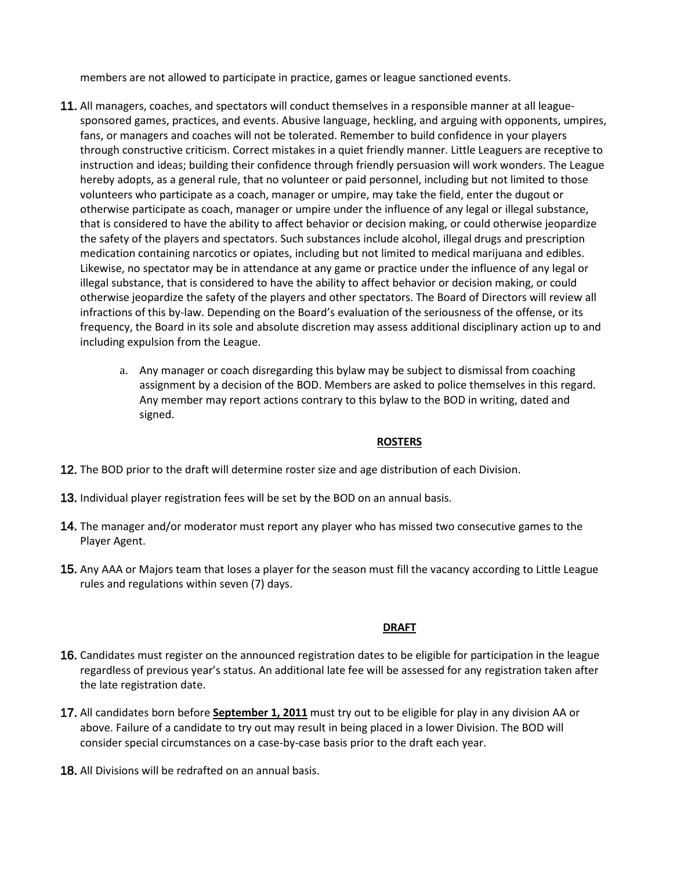members are not allowed to participate in practice, games or league sanctioned events.

- 11. All managers, coaches, and spectators will conduct themselves in a responsible manner at all leaguesponsored games, practices, and events. Abusive language, heckling, and arguing with opponents, umpires, fans, or managers and coaches will not be tolerated. Remember to build confidence in your players through constructive criticism. Correct mistakes in a quiet friendly manner. Little Leaguers are receptive to instruction and ideas; building their confidence through friendly persuasion will work wonders. The League hereby adopts, as a general rule, that no volunteer or paid personnel, including but not limited to those volunteers who participate as a coach, manager or umpire, may take the field, enter the dugout or otherwise participate as coach, manager or umpire under the influence of any legal or illegal substance, that is considered to have the ability to affect behavior or decision making, or could otherwise jeopardize the safety of the players and spectators. Such substances include alcohol, illegal drugs and prescription medication containing narcotics or opiates, including but not limited to medical marijuana and edibles. Likewise, no spectator may be in attendance at any game or practice under the influence of any legal or illegal substance, that is considered to have the ability to affect behavior or decision making, or could otherwise jeopardize the safety of the players and other spectators. The Board of Directors will review all infractions of this by-law. Depending on the Board's evaluation of the seriousness of the offense, or its frequency, the Board in its sole and absolute discretion may assess additional disciplinary action up to and including expulsion from the League.
	- a. Any manager or coach disregarding this bylaw may be subject to dismissal from coaching assignment by a decision of the BOD. Members are asked to police themselves in this regard. Any member may report actions contrary to this bylaw to the BOD in writing, dated and signed.

#### **ROSTERS**

- 12. The BOD prior to the draft will determine roster size and age distribution of each Division.
- 13. Individual player registration fees will be set by the BOD on an annual basis.
- 14. The manager and/or moderator must report any player who has missed two consecutive games to the Player Agent.
- 15. Any AAA or Majors team that loses a player for the season must fill the vacancy according to Little League rules and regulations within seven (7) days.

#### **DRAFT**

- 16. Candidates must register on the announced registration dates to be eligible for participation in the league regardless of previous year's status. An additional late fee will be assessed for any registration taken after the late registration date.
- 17. All candidates born before **September 1, 2011** must try out to be eligible for play in any division AA or above. Failure of a candidate to try out may result in being placed in a lower Division. The BOD will consider special circumstances on a case-by-case basis prior to the draft each year.
- 18. All Divisions will be redrafted on an annual basis.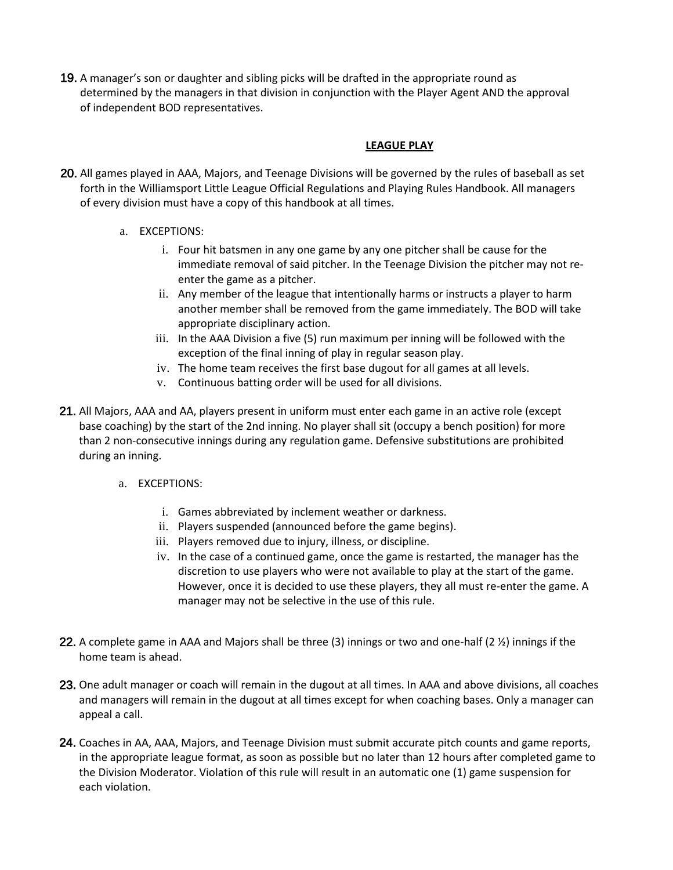19. A manager's son or daughter and sibling picks will be drafted in the appropriate round as determined by the managers in that division in conjunction with the Player Agent AND the approval of independent BOD representatives.

### **LEAGUE PLAY**

- 20. All games played in AAA, Majors, and Teenage Divisions will be governed by the rules of baseball as set forth in the Williamsport Little League Official Regulations and Playing Rules Handbook. All managers of every division must have a copy of this handbook at all times.
	- a. EXCEPTIONS:
		- i. Four hit batsmen in any one game by any one pitcher shall be cause for the immediate removal of said pitcher. In the Teenage Division the pitcher may not reenter the game as a pitcher.
		- ii. Any member of the league that intentionally harms or instructs a player to harm another member shall be removed from the game immediately. The BOD will take appropriate disciplinary action.
		- iii. In the AAA Division a five (5) run maximum per inning will be followed with the exception of the final inning of play in regular season play.
		- iv. The home team receives the first base dugout for all games at all levels.
		- v. Continuous batting order will be used for all divisions.
- 21. All Majors, AAA and AA, players present in uniform must enter each game in an active role (except base coaching) by the start of the 2nd inning. No player shall sit (occupy a bench position) for more than 2 non-consecutive innings during any regulation game. Defensive substitutions are prohibited during an inning.
	- a. EXCEPTIONS:
		- i. Games abbreviated by inclement weather or darkness.
		- ii. Players suspended (announced before the game begins).
		- iii. Players removed due to injury, illness, or discipline.
		- iv. In the case of a continued game, once the game is restarted, the manager has the discretion to use players who were not available to play at the start of the game. However, once it is decided to use these players, they all must re-enter the game. A manager may not be selective in the use of this rule.
- 22. A complete game in AAA and Majors shall be three (3) innings or two and one-half (2 ½) innings if the home team is ahead.
- 23. One adult manager or coach will remain in the dugout at all times. In AAA and above divisions, all coaches and managers will remain in the dugout at all times except for when coaching bases. Only a manager can appeal a call.
- 24. Coaches in AA, AAA, Majors, and Teenage Division must submit accurate pitch counts and game reports, in the appropriate league format, as soon as possible but no later than 12 hours after completed game to the Division Moderator. Violation of this rule will result in an automatic one (1) game suspension for each violation.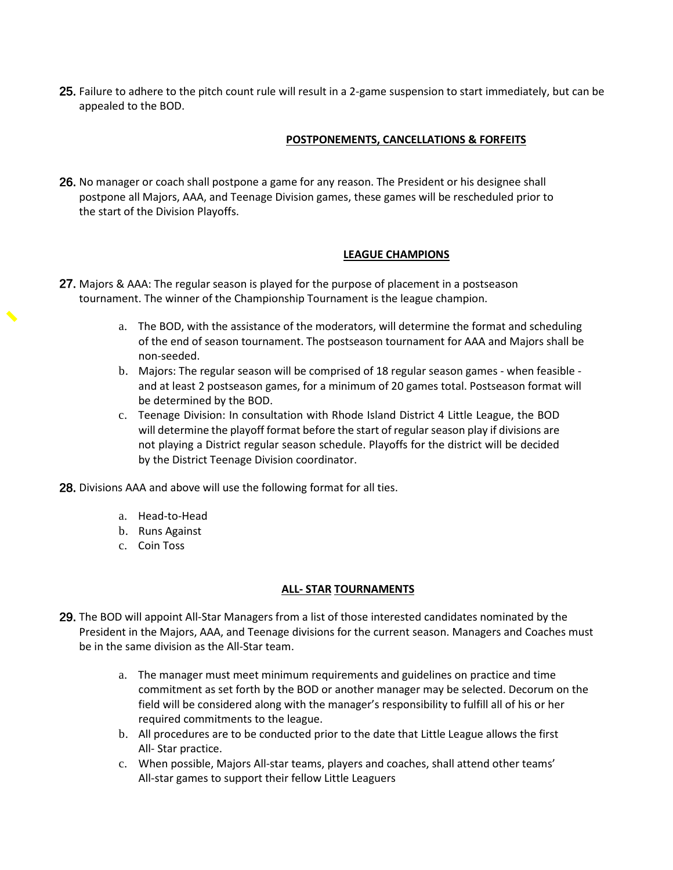25. Failure to adhere to the pitch count rule will result in a 2-game suspension to start immediately, but can be appealed to the BOD.

# **POSTPONEMENTS, CANCELLATIONS & FORFEITS**

26. No manager or coach shall postpone a game for any reason. The President or his designee shall postpone all Majors, AAA, and Teenage Division games, these games will be rescheduled prior to the start of the Division Playoffs.

#### **LEAGUE CHAMPIONS**

- 27. Majors & AAA: The regular season is played for the purpose of placement in a postseason tournament. The winner of the Championship Tournament is the league champion.
	- a. The BOD, with the assistance of the moderators, will determine the format and scheduling of the end of season tournament. The postseason tournament for AAA and Majors shall be non-seeded.
	- b. Majors: The regular season will be comprised of 18 regular season games when feasible and at least 2 postseason games, for a minimum of 20 games total. Postseason format will be determined by the BOD.
	- c. Teenage Division: In consultation with Rhode Island District 4 Little League, the BOD will determine the playoff format before the start of regular season play if divisions are not playing a District regular season schedule. Playoffs for the district will be decided by the District Teenage Division coordinator.
- 28. Divisions AAA and above will use the following format for all ties.
	- a. Head-to-Head
	- b. Runs Against
	- c. Coin Toss

#### **ALL- STAR TOURNAMENTS**

- 29. The BOD will appoint All-Star Managers from a list of those interested candidates nominated by the President in the Majors, AAA, and Teenage divisions for the current season. Managers and Coaches must be in the same division as the All-Star team.
	- a. The manager must meet minimum requirements and guidelines on practice and time commitment as set forth by the BOD or another manager may be selected. Decorum on the field will be considered along with the manager's responsibility to fulfill all of his or her required commitments to the league.
	- b. All procedures are to be conducted prior to the date that Little League allows the first All- Star practice.
	- c. When possible, Majors All-star teams, players and coaches, shall attend other teams' All-star games to support their fellow Little Leaguers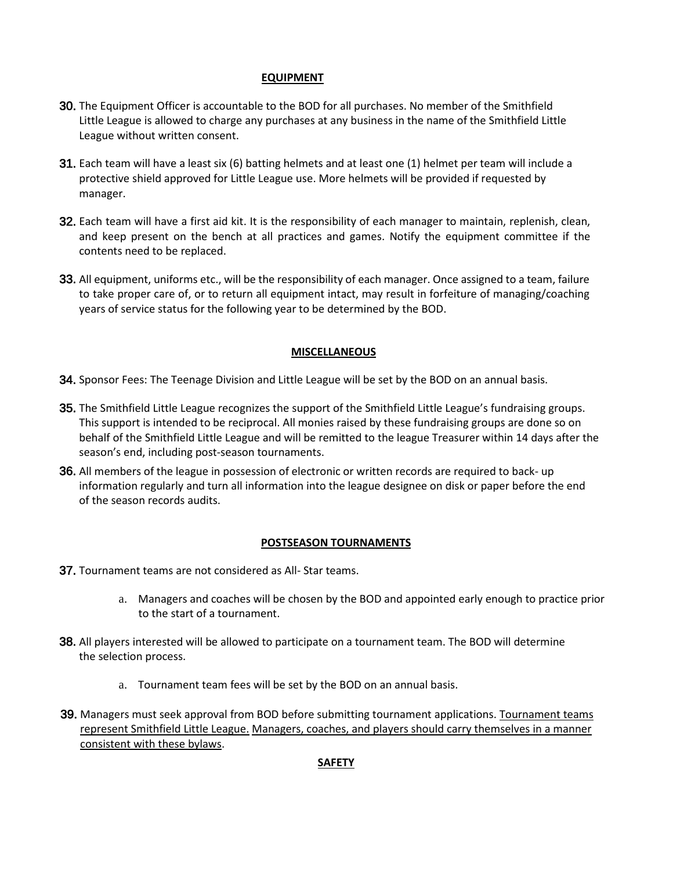# **EQUIPMENT**

- 30. The Equipment Officer is accountable to the BOD for all purchases. No member of the Smithfield Little League is allowed to charge any purchases at any business in the name of the Smithfield Little League without written consent.
- 31. Each team will have a least six (6) batting helmets and at least one (1) helmet per team will include a protective shield approved for Little League use. More helmets will be provided if requested by manager.
- 32. Each team will have a first aid kit. It is the responsibility of each manager to maintain, replenish, clean, and keep present on the bench at all practices and games. Notify the equipment committee if the contents need to be replaced.
- 33. All equipment, uniforms etc., will be the responsibility of each manager. Once assigned to a team, failure to take proper care of, or to return all equipment intact, may result in forfeiture of managing/coaching years of service status for the following year to be determined by the BOD.

# **MISCELLANEOUS**

- 34. Sponsor Fees: The Teenage Division and Little League will be set by the BOD on an annual basis.
- 35. The Smithfield Little League recognizes the support of the Smithfield Little League's fundraising groups. This support is intended to be reciprocal. All monies raised by these fundraising groups are done so on behalf of the Smithfield Little League and will be remitted to the league Treasurer within 14 days after the season's end, including post-season tournaments.
- 36. All members of the league in possession of electronic or written records are required to back- up information regularly and turn all information into the league designee on disk or paper before the end of the season records audits.

#### **POSTSEASON TOURNAMENTS**

- 37. Tournament teams are not considered as All- Star teams.
	- a. Managers and coaches will be chosen by the BOD and appointed early enough to practice prior to the start of a tournament.
- 38. All players interested will be allowed to participate on a tournament team. The BOD will determine the selection process.
	- a. Tournament team fees will be set by the BOD on an annual basis.
- 39. Managers must seek approval from BOD before submitting tournament applications. Tournament teams represent Smithfield Little League. Managers, coaches, and players should carry themselves in a manner consistent with these bylaws.

#### **SAFETY**